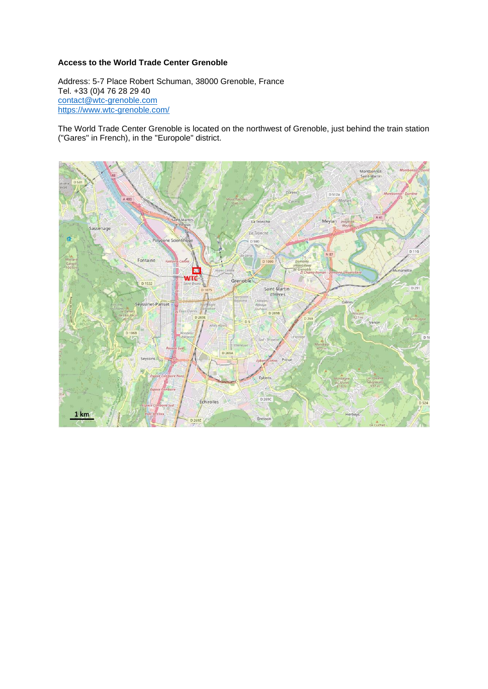# **Access to the World Trade Center Grenoble**

Address: 5-7 Place Robert Schuman, 38000 Grenoble, France Tel. +33 (0)4 76 28 29 40 [contact@wtc-grenoble.com](mailto:contact@wtc-grenoble.com) [https://www.wtc-grenoble.com/](https://www.wtc-grenoble.com/wtc-grenoble)

The World Trade Center Grenoble is located on the northwest of Grenoble, just behind the train station ("Gares" in French), in the "Europole" district.

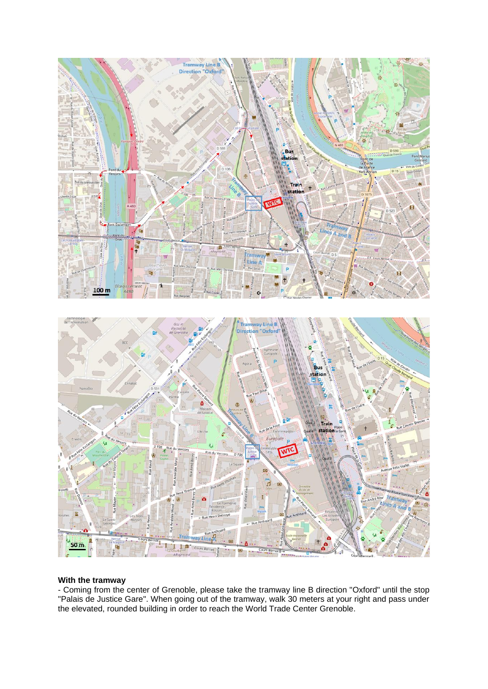

## **With the tramway**

- Coming from the center of Grenoble, please take the tramway line B direction "Oxford" until the stop "Palais de Justice Gare". When going out of the tramway, walk 30 meters at your right and pass under the elevated, rounded building in order to reach the World Trade Center Grenoble.